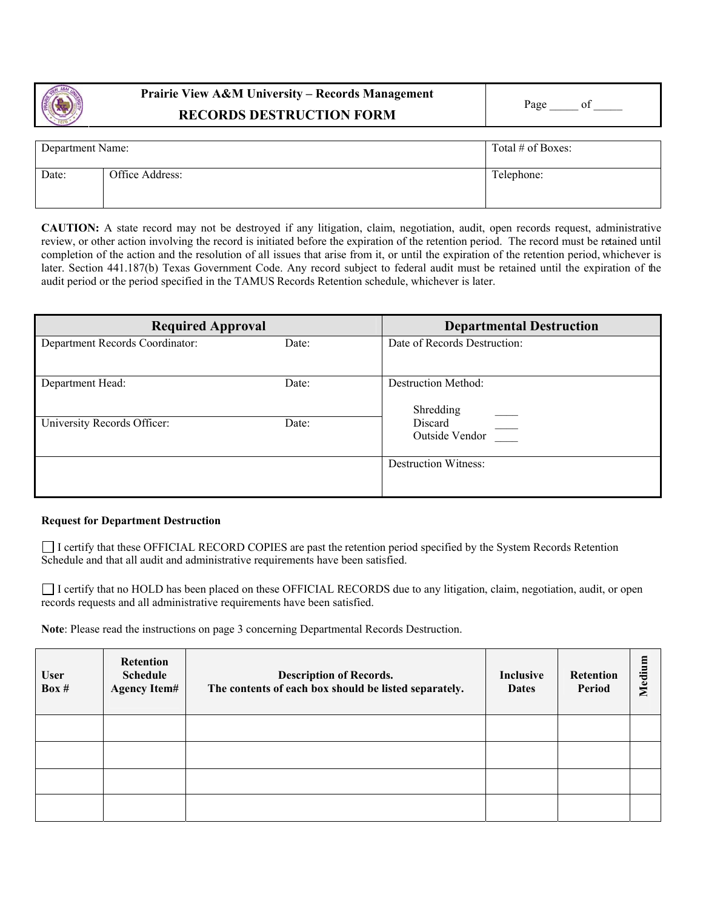

## **Prairie View A&M University – Records Management RECORDS DESTRUCTION FORM**

| Department Name: |                 | Total # of Boxes: |
|------------------|-----------------|-------------------|
| Date:            | Office Address: | Telephone:        |

**CAUTION:** A state record may not be destroyed if any litigation, claim, negotiation, audit, open records request, administrative review, or other action involving the record is initiated before the expiration of the retention period. The record must be retained until completion of the action and the resolution of all issues that arise from it, or until the expiration of the retention period, whichever is later. Section 441.187(b) Texas Government Code. Any record subject to federal audit must be retained until the expiration of the audit period or the period specified in the TAMUS Records Retention schedule, whichever is later.

| <b>Required Approval</b>        |       | <b>Departmental Destruction</b>  |  |
|---------------------------------|-------|----------------------------------|--|
| Department Records Coordinator: | Date: | Date of Records Destruction:     |  |
| Department Head:                | Date: | Destruction Method:<br>Shredding |  |
| University Records Officer:     | Date: | Discard<br>Outside Vendor        |  |
|                                 |       | <b>Destruction Witness:</b>      |  |

## **Request for Department Destruction**

 I certify that these OFFICIAL RECORD COPIES are past the retention period specified by the System Records Retention Schedule and that all audit and administrative requirements have been satisfied.

I certify that no HOLD has been placed on these OFFICIAL RECORDS due to any litigation, claim, negotiation, audit, or open records requests and all administrative requirements have been satisfied.

**Note**: Please read the instructions on page 3 concerning Departmental Records Destruction.

| <b>User</b><br>Box $#$ | <b>Retention</b><br><b>Schedule</b><br><b>Agency Item#</b> | <b>Description of Records.</b><br>The contents of each box should be listed separately. | Inclusive<br><b>Dates</b> | Retention<br>Period | Medium |
|------------------------|------------------------------------------------------------|-----------------------------------------------------------------------------------------|---------------------------|---------------------|--------|
|                        |                                                            |                                                                                         |                           |                     |        |
|                        |                                                            |                                                                                         |                           |                     |        |
|                        |                                                            |                                                                                         |                           |                     |        |
|                        |                                                            |                                                                                         |                           |                     |        |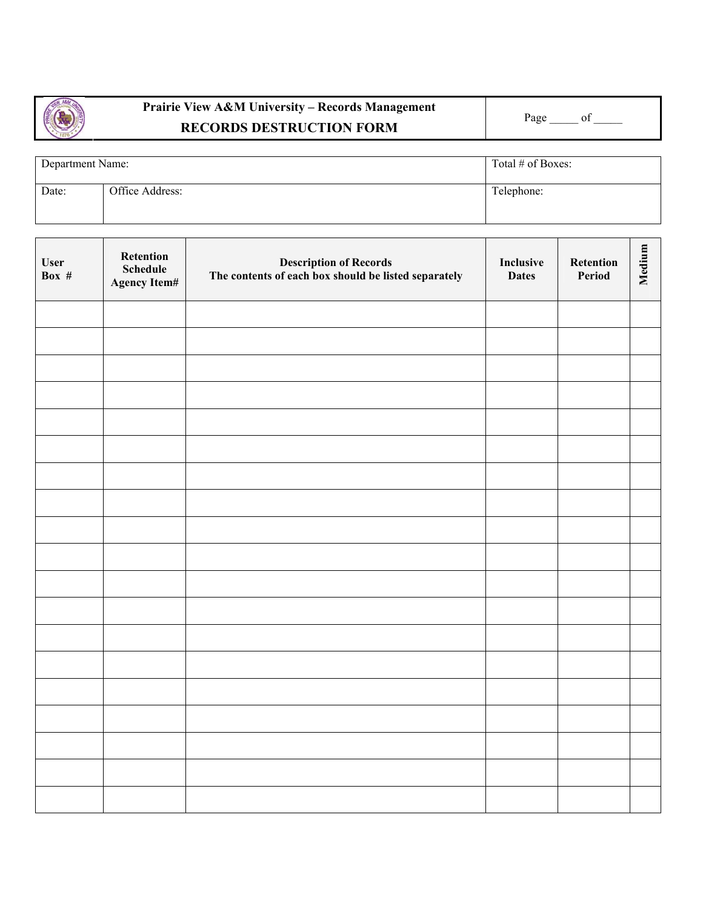

## **Prairie View A&M University – Records Management**  RECORDS DESTRUCTION FORM Page <sup>Page</sup> <sup>Page</sup>

| Department Name: |                 | Total # of Boxes: |  |
|------------------|-----------------|-------------------|--|
| Date:            | Office Address: | Telephone:        |  |

| <b>User</b><br>Box $#$ | Retention<br>Schedule<br>Agency Item# | <b>Description of Records</b><br>The contents of each box should be listed separately | Inclusive<br><b>Dates</b> | Retention<br>Period | Medium |
|------------------------|---------------------------------------|---------------------------------------------------------------------------------------|---------------------------|---------------------|--------|
|                        |                                       |                                                                                       |                           |                     |        |
|                        |                                       |                                                                                       |                           |                     |        |
|                        |                                       |                                                                                       |                           |                     |        |
|                        |                                       |                                                                                       |                           |                     |        |
|                        |                                       |                                                                                       |                           |                     |        |
|                        |                                       |                                                                                       |                           |                     |        |
|                        |                                       |                                                                                       |                           |                     |        |
|                        |                                       |                                                                                       |                           |                     |        |
|                        |                                       |                                                                                       |                           |                     |        |
|                        |                                       |                                                                                       |                           |                     |        |
|                        |                                       |                                                                                       |                           |                     |        |
|                        |                                       |                                                                                       |                           |                     |        |
|                        |                                       |                                                                                       |                           |                     |        |
|                        |                                       |                                                                                       |                           |                     |        |
|                        |                                       |                                                                                       |                           |                     |        |
|                        |                                       |                                                                                       |                           |                     |        |
|                        |                                       |                                                                                       |                           |                     |        |
|                        |                                       |                                                                                       |                           |                     |        |
|                        |                                       |                                                                                       |                           |                     |        |